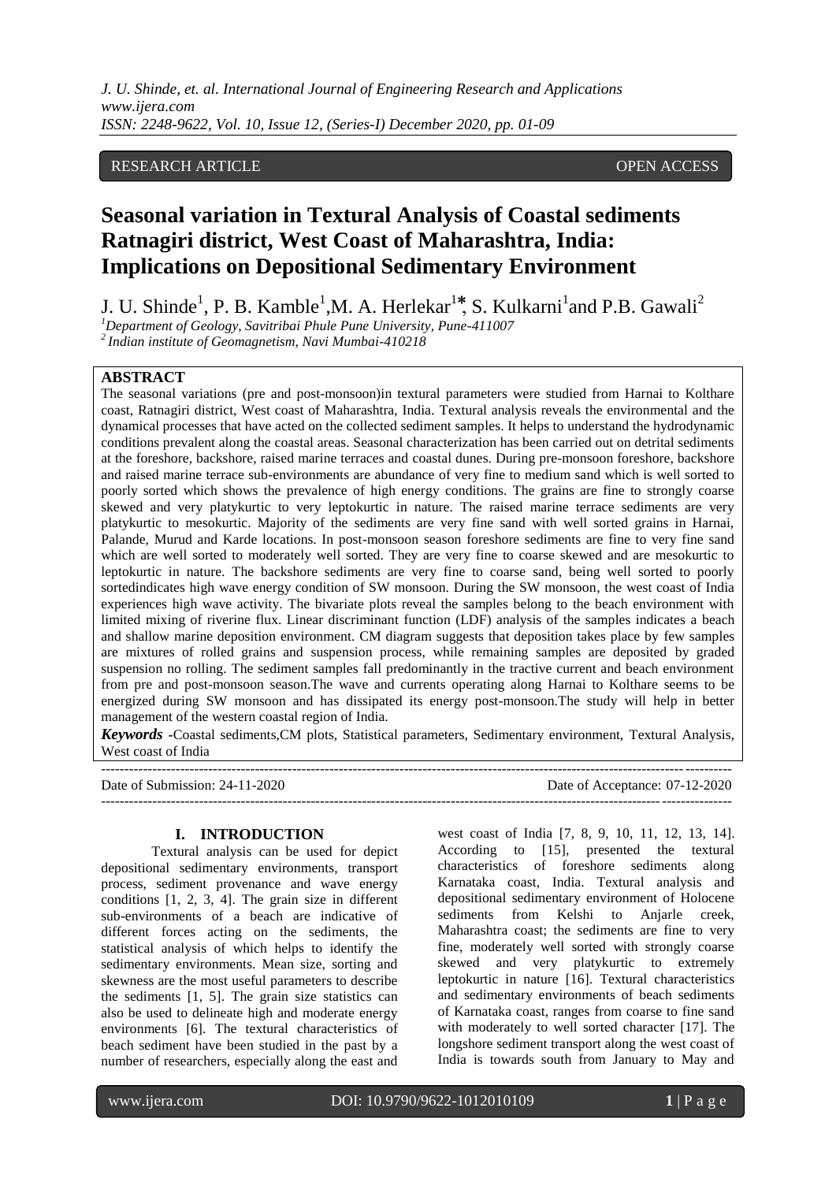*J. U. Shinde, et. al. International Journal of Engineering Research and Applications www.ijera.com ISSN: 2248-9622, Vol. 10, Issue 12, (Series-I) December 2020, pp. 01-09*

#### RESEARCH ARTICLE **OPEN ACCESS**

# **Seasonal variation in Textural Analysis of Coastal sediments Ratnagiri district, West Coast of Maharashtra, India: Implications on Depositional Sedimentary Environment**

J. U. Shinde<sup>1</sup>, P. B. Kamble<sup>1</sup>, M. A. Herlekar<sup>1\*</sup>, S. Kulkarni<sup>1</sup>and P.B. Gawali<sup>2</sup>

*<sup>1</sup>Department of Geology, Savitribai Phule Pune University, Pune-411007*

*<sup>2</sup>Indian institute of Geomagnetism, Navi Mumbai-410218*

# **ABSTRACT**

The seasonal variations (pre and post-monsoon)in textural parameters were studied from Harnai to Kolthare coast, Ratnagiri district, West coast of Maharashtra, India. Textural analysis reveals the environmental and the dynamical processes that have acted on the collected sediment samples. It helps to understand the hydrodynamic conditions prevalent along the coastal areas. Seasonal characterization has been carried out on detrital sediments at the foreshore, backshore, raised marine terraces and coastal dunes. During pre-monsoon foreshore, backshore and raised marine terrace sub-environments are abundance of very fine to medium sand which is well sorted to poorly sorted which shows the prevalence of high energy conditions. The grains are fine to strongly coarse skewed and very platykurtic to very leptokurtic in nature. The raised marine terrace sediments are very platykurtic to mesokurtic. Majority of the sediments are very fine sand with well sorted grains in Harnai, Palande, Murud and Karde locations. In post-monsoon season foreshore sediments are fine to very fine sand which are well sorted to moderately well sorted. They are very fine to coarse skewed and are mesokurtic to leptokurtic in nature. The backshore sediments are very fine to coarse sand, being well sorted to poorly sortedindicates high wave energy condition of SW monsoon. During the SW monsoon, the west coast of India experiences high wave activity. The bivariate plots reveal the samples belong to the beach environment with limited mixing of riverine flux. Linear discriminant function (LDF) analysis of the samples indicates a beach and shallow marine deposition environment. CM diagram suggests that deposition takes place by few samples are mixtures of rolled grains and suspension process, while remaining samples are deposited by graded suspension no rolling. The sediment samples fall predominantly in the tractive current and beach environment from pre and post-monsoon season.The wave and currents operating along Harnai to Kolthare seems to be energized during SW monsoon and has dissipated its energy post-monsoon.The study will help in better management of the western coastal region of India.

*Keywords -*Coastal sediments,CM plots, Statistical parameters, Sedimentary environment, Textural Analysis, West coast of India

--------------------------------------------------------------------------------------------------------------------------------------- Date of Submission: 24-11-2020 Date of Acceptance: 07-12-2020 ---------------------------------------------------------------------------------------------------------------------------------------

#### **I. INTRODUCTION**

Textural analysis can be used for depict depositional sedimentary environments, transport process, sediment provenance and wave energy conditions [1, 2, 3, 4]. The grain size in different sub-environments of a beach are indicative of different forces acting on the sediments, the statistical analysis of which helps to identify the sedimentary environments. Mean size, sorting and skewness are the most useful parameters to describe the sediments [1, 5]. The grain size statistics can also be used to delineate high and moderate energy environments [6]. The textural characteristics of beach sediment have been studied in the past by a number of researchers, especially along the east and west coast of India [7, 8, 9, 10, 11, 12, 13, 14]. According to [15], presented the textural characteristics of foreshore sediments along Karnataka coast, India. Textural analysis and depositional sedimentary environment of Holocene sediments from Kelshi to Anjarle creek, Maharashtra coast; the sediments are fine to very fine, moderately well sorted with strongly coarse skewed and very platykurtic to extremely leptokurtic in nature [16]. Textural characteristics and sedimentary environments of beach sediments of Karnataka coast, ranges from coarse to fine sand with moderately to well sorted character [17]. The longshore sediment transport along the west coast of India is towards south from January to May and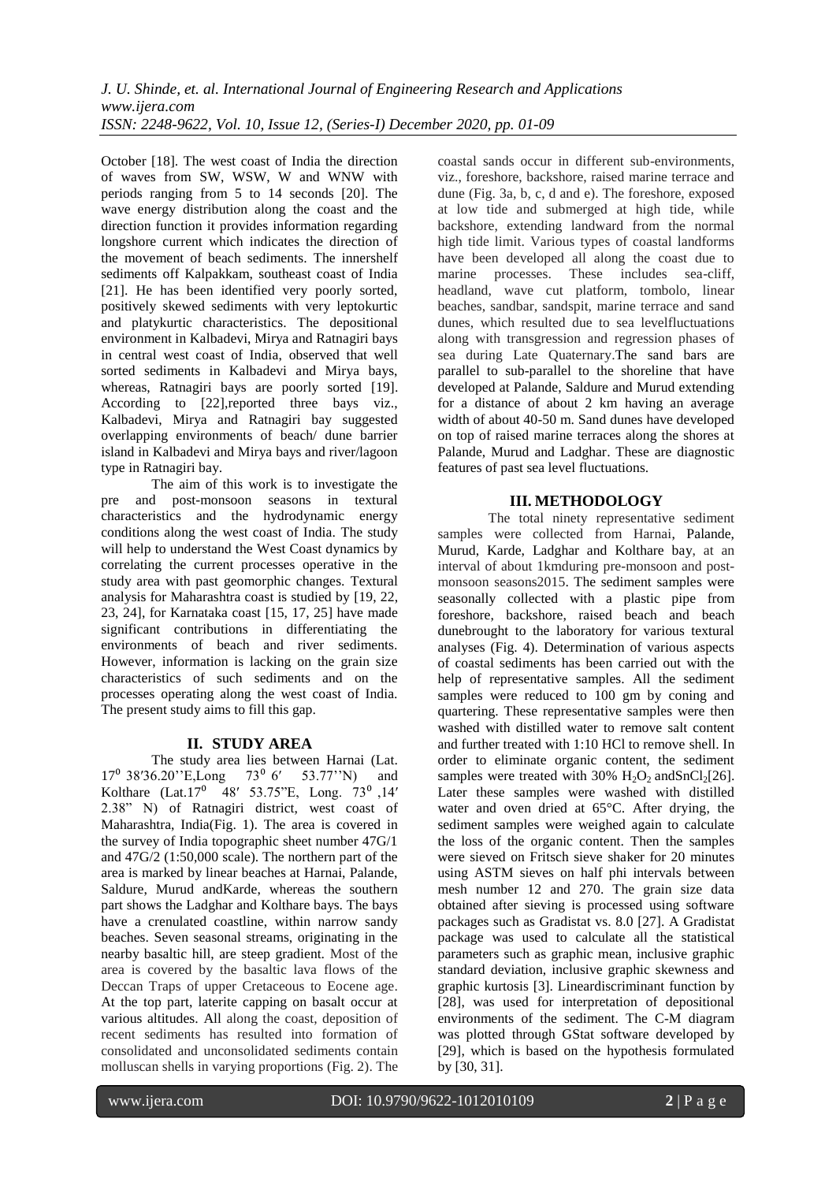October [18]. The west coast of India the direction of waves from SW, WSW, W and WNW with periods ranging from 5 to 14 seconds [20]. The wave energy distribution along the coast and the direction function it provides information regarding longshore current which indicates the direction of the movement of beach sediments. The innershelf sediments off Kalpakkam, southeast coast of India [21]. He has been identified very poorly sorted, positively skewed sediments with very leptokurtic and platykurtic characteristics. The depositional environment in Kalbadevi, Mirya and Ratnagiri bays in central west coast of India, observed that well sorted sediments in Kalbadevi and Mirya bays, whereas, Ratnagiri bays are poorly sorted [19]. According to [22], reported three bays viz., Kalbadevi, Mirya and Ratnagiri bay suggested overlapping environments of beach/ dune barrier island in Kalbadevi and Mirya bays and river/lagoon type in Ratnagiri bay.

The aim of this work is to investigate the pre and post-monsoon seasons in textural characteristics and the hydrodynamic energy conditions along the west coast of India. The study will help to understand the West Coast dynamics by correlating the current processes operative in the study area with past geomorphic changes. Textural analysis for Maharashtra coast is studied by [19, 22, 23, 24], for Karnataka coast [15, 17, 25] have made significant contributions in differentiating the environments of beach and river sediments. However, information is lacking on the grain size characteristics of such sediments and on the processes operating along the west coast of India. The present study aims to fill this gap.

# **II. STUDY AREA**

The study area lies between Harnai (Lat.  $17^{\circ}$  38'36.20" E,Long 73 $^{\circ}$  6' 53.77" N) and Kolthare  $(Lat.17^{\circ}$  48′ 53.75"E, Long. 73<sup>°</sup> ,14' 2.38" N) of Ratnagiri district, west coast of Maharashtra, India(Fig. 1). The area is covered in the survey of India topographic sheet number 47G/1 and 47G/2 (1:50,000 scale). The northern part of the area is marked by linear beaches at Harnai, Palande, Saldure, Murud andKarde, whereas the southern part shows the Ladghar and Kolthare bays. The bays have a crenulated coastline, within narrow sandy beaches. Seven seasonal streams, originating in the nearby basaltic hill, are steep gradient. Most of the area is covered by the basaltic lava flows of the Deccan Traps of upper Cretaceous to Eocene age. At the top part, laterite capping on basalt occur at various altitudes. All along the coast, deposition of recent sediments has resulted into formation of consolidated and unconsolidated sediments contain molluscan shells in varying proportions (Fig. 2). The coastal sands occur in different sub-environments, viz., foreshore, backshore, raised marine terrace and dune (Fig. 3a, b, c, d and e). The foreshore, exposed at low tide and submerged at high tide, while backshore, extending landward from the normal high tide limit. Various types of coastal landforms have been developed all along the coast due to marine processes. These includes sea-cliff, headland, wave cut platform, tombolo, linear beaches, sandbar, sandspit, marine terrace and sand dunes, which resulted due to sea levelfluctuations along with transgression and regression phases of sea during Late Quaternary.The sand bars are parallel to sub-parallel to the shoreline that have developed at Palande, Saldure and Murud extending for a distance of about 2 km having an average width of about 40-50 m. Sand dunes have developed on top of raised marine terraces along the shores at Palande, Murud and Ladghar. These are diagnostic features of past sea level fluctuations.

# **III. METHODOLOGY**

The total ninety representative sediment samples were collected from Harnai, Palande, Murud, Karde, Ladghar and Kolthare bay, at an interval of about 1kmduring pre-monsoon and postmonsoon seasons2015. The sediment samples were seasonally collected with a plastic pipe from foreshore, backshore, raised beach and beach dunebrought to the laboratory for various textural analyses (Fig. 4). Determination of various aspects of coastal sediments has been carried out with the help of representative samples. All the sediment samples were reduced to 100 gm by coning and quartering. These representative samples were then washed with distilled water to remove salt content and further treated with 1:10 HCl to remove shell. In order to eliminate organic content, the sediment samples were treated with  $30\%$  H<sub>2</sub>O<sub>2</sub> andSnCl<sub>2</sub>[26]. Later these samples were washed with distilled water and oven dried at 65°C. After drying, the sediment samples were weighed again to calculate the loss of the organic content. Then the samples were sieved on Fritsch sieve shaker for 20 minutes using ASTM sieves on half phi intervals between mesh number 12 and 270. The grain size data obtained after sieving is processed using software packages such as Gradistat vs. 8.0 [27]. A Gradistat package was used to calculate all the statistical parameters such as graphic mean, inclusive graphic standard deviation, inclusive graphic skewness and graphic kurtosis [3]. Lineardiscriminant function by [28], was used for interpretation of depositional environments of the sediment. The C-M diagram was plotted through GStat software developed by [29], which is based on the hypothesis formulated by [30, 31].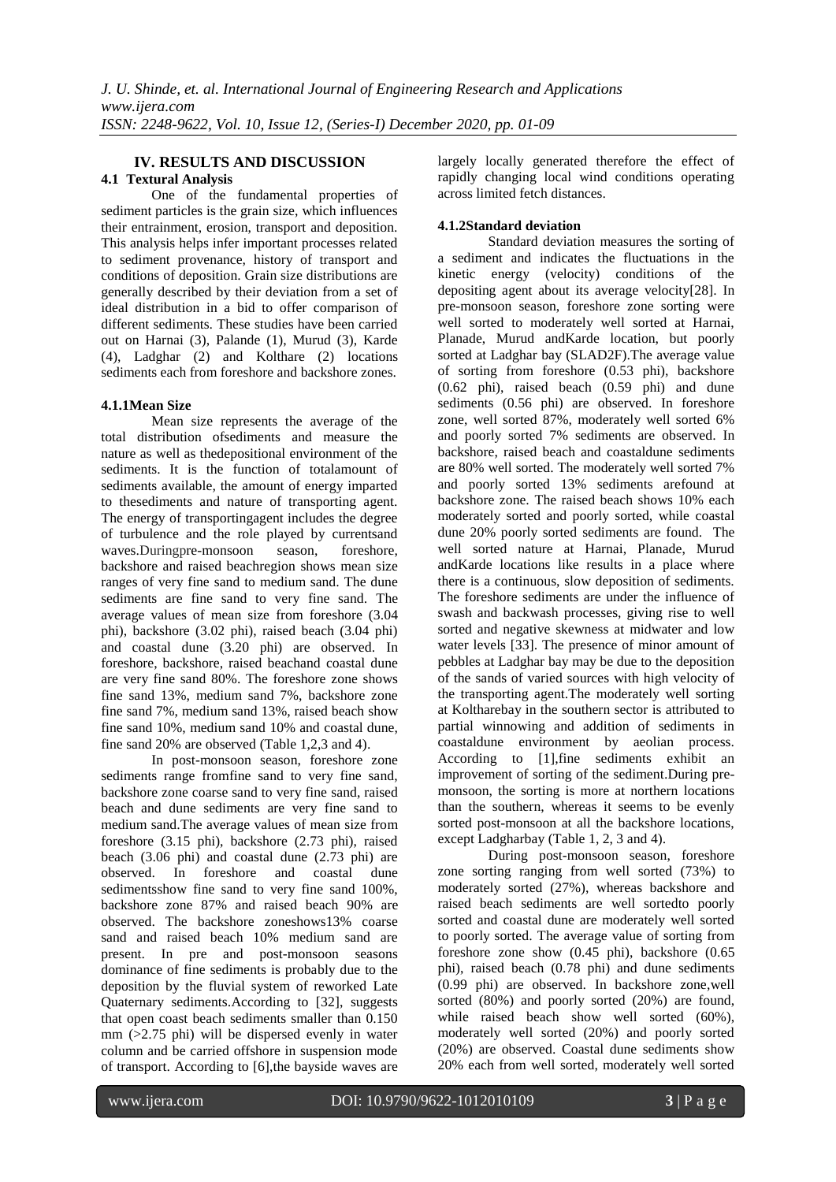# **IV. RESULTS AND DISCUSSION**

#### **4.1 Textural Analysis**

One of the fundamental properties of sediment particles is the grain size, which influences their entrainment, erosion, transport and deposition. This analysis helps infer important processes related to sediment provenance, history of transport and conditions of deposition. Grain size distributions are generally described by their deviation from a set of ideal distribution in a bid to offer comparison of different sediments. These studies have been carried out on Harnai (3), Palande (1), Murud (3), Karde (4), Ladghar (2) and Kolthare (2) locations sediments each from foreshore and backshore zones.

#### **4.1.1Mean Size**

Mean size represents the average of the total distribution ofsediments and measure the nature as well as thedepositional environment of the sediments. It is the function of totalamount of sediments available, the amount of energy imparted to thesediments and nature of transporting agent. The energy of transportingagent includes the degree of turbulence and the role played by currentsand waves.Duringpre-monsoon season, foreshore, backshore and raised beachregion shows mean size ranges of very fine sand to medium sand. The dune sediments are fine sand to very fine sand. The average values of mean size from foreshore (3.04 phi), backshore (3.02 phi), raised beach (3.04 phi) and coastal dune (3.20 phi) are observed. In foreshore, backshore, raised beachand coastal dune are very fine sand 80%. The foreshore zone shows fine sand 13%, medium sand 7%, backshore zone fine sand 7%, medium sand 13%, raised beach show fine sand 10%, medium sand 10% and coastal dune, fine sand 20% are observed (Table 1,2,3 and 4).

In post-monsoon season, foreshore zone sediments range fromfine sand to very fine sand, backshore zone coarse sand to very fine sand, raised beach and dune sediments are very fine sand to medium sand.The average values of mean size from foreshore (3.15 phi), backshore (2.73 phi), raised beach (3.06 phi) and coastal dune (2.73 phi) are observed. In foreshore and coastal dune sedimentsshow fine sand to very fine sand 100%, backshore zone 87% and raised beach 90% are observed. The backshore zoneshows13% coarse sand and raised beach 10% medium sand are present. In pre and post-monsoon seasons dominance of fine sediments is probably due to the deposition by the fluvial system of reworked Late Quaternary sediments.According to [32], suggests that open coast beach sediments smaller than 0.150  $mm$  ( $>2.75$  phi) will be dispersed evenly in water column and be carried offshore in suspension mode of transport. According to [6],the bayside waves are largely locally generated therefore the effect of rapidly changing local wind conditions operating across limited fetch distances.

# **4.1.2Standard deviation**

Standard deviation measures the sorting of a sediment and indicates the fluctuations in the kinetic energy (velocity) conditions of the depositing agent about its average velocity[28]. In pre-monsoon season, foreshore zone sorting were well sorted to moderately well sorted at Harnai, Planade, Murud andKarde location, but poorly sorted at Ladghar bay (SLAD2F).The average value of sorting from foreshore (0.53 phi), backshore (0.62 phi), raised beach (0.59 phi) and dune sediments (0.56 phi) are observed. In foreshore zone, well sorted 87%, moderately well sorted 6% and poorly sorted 7% sediments are observed. In backshore, raised beach and coastaldune sediments are 80% well sorted. The moderately well sorted 7% and poorly sorted 13% sediments arefound at backshore zone. The raised beach shows 10% each moderately sorted and poorly sorted, while coastal dune 20% poorly sorted sediments are found. The well sorted nature at Harnai, Planade, Murud andKarde locations like results in a place where there is a continuous, slow deposition of sediments. The foreshore sediments are under the influence of swash and backwash processes, giving rise to well sorted and negative skewness at midwater and low water levels [33]. The presence of minor amount of pebbles at Ladghar bay may be due to the deposition of the sands of varied sources with high velocity of the transporting agent.The moderately well sorting at Koltharebay in the southern sector is attributed to partial winnowing and addition of sediments in coastaldune environment by aeolian process. According to [1],fine sediments exhibit an improvement of sorting of the sediment.During premonsoon, the sorting is more at northern locations than the southern, whereas it seems to be evenly sorted post-monsoon at all the backshore locations, except Ladgharbay (Table 1, 2, 3 and 4).

During post-monsoon season, foreshore zone sorting ranging from well sorted (73%) to moderately sorted (27%), whereas backshore and raised beach sediments are well sortedto poorly sorted and coastal dune are moderately well sorted to poorly sorted. The average value of sorting from foreshore zone show (0.45 phi), backshore (0.65 phi), raised beach (0.78 phi) and dune sediments (0.99 phi) are observed. In backshore zone,well sorted (80%) and poorly sorted (20%) are found, while raised beach show well sorted (60%). moderately well sorted (20%) and poorly sorted (20%) are observed. Coastal dune sediments show 20% each from well sorted, moderately well sorted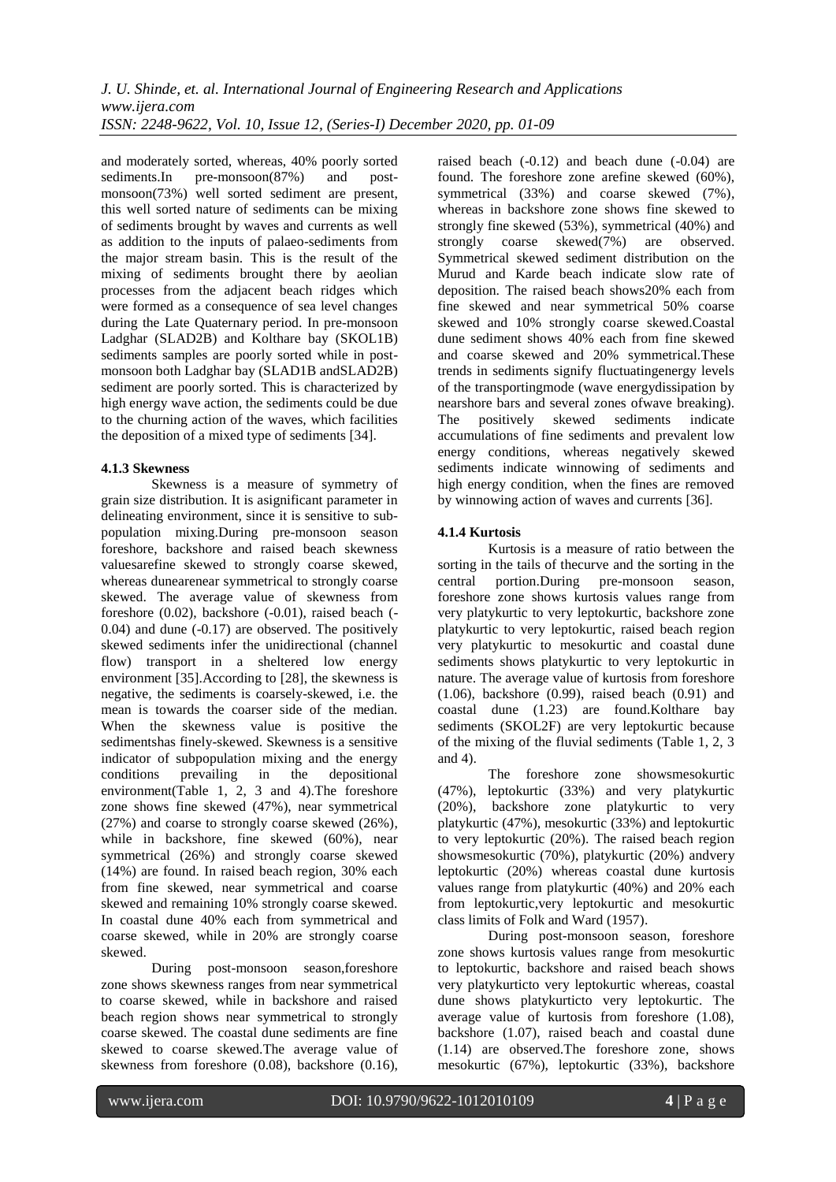and moderately sorted, whereas, 40% poorly sorted<br>sediments.In pre-monsoon(87%) and postsediments.In pre-monsoon $(87%)$  and postmonsoon(73%) well sorted sediment are present, this well sorted nature of sediments can be mixing of sediments brought by waves and currents as well as addition to the inputs of palaeo-sediments from the major stream basin. This is the result of the mixing of sediments brought there by aeolian processes from the adjacent beach ridges which were formed as a consequence of sea level changes during the Late Quaternary period. In pre-monsoon Ladghar (SLAD2B) and Kolthare bay (SKOL1B) sediments samples are poorly sorted while in postmonsoon both Ladghar bay (SLAD1B andSLAD2B) sediment are poorly sorted. This is characterized by high energy wave action, the sediments could be due to the churning action of the waves, which facilities the deposition of a mixed type of sediments [34].

# **4.1.3 Skewness**

Skewness is a measure of symmetry of grain size distribution. It is asignificant parameter in delineating environment, since it is sensitive to subpopulation mixing.During pre-monsoon season foreshore, backshore and raised beach skewness valuesarefine skewed to strongly coarse skewed, whereas dunearenear symmetrical to strongly coarse skewed. The average value of skewness from foreshore (0.02), backshore (-0.01), raised beach (- 0.04) and dune (-0.17) are observed. The positively skewed sediments infer the unidirectional (channel flow) transport in a sheltered low energy environment [35].According to [28], the skewness is negative, the sediments is coarsely-skewed, i.e. the mean is towards the coarser side of the median. When the skewness value is positive the sedimentshas finely-skewed. Skewness is a sensitive indicator of subpopulation mixing and the energy conditions prevailing in the depositional environment(Table 1, 2, 3 and 4).The foreshore zone shows fine skewed (47%), near symmetrical (27%) and coarse to strongly coarse skewed (26%), while in backshore, fine skewed (60%), near symmetrical (26%) and strongly coarse skewed (14%) are found. In raised beach region, 30% each from fine skewed, near symmetrical and coarse skewed and remaining 10% strongly coarse skewed. In coastal dune 40% each from symmetrical and coarse skewed, while in 20% are strongly coarse skewed.

During post-monsoon season,foreshore zone shows skewness ranges from near symmetrical to coarse skewed, while in backshore and raised beach region shows near symmetrical to strongly coarse skewed. The coastal dune sediments are fine skewed to coarse skewed.The average value of skewness from foreshore (0.08), backshore (0.16), raised beach (-0.12) and beach dune (-0.04) are found. The foreshore zone arefine skewed (60%), symmetrical (33%) and coarse skewed (7%), whereas in backshore zone shows fine skewed to strongly fine skewed (53%), symmetrical (40%) and strongly coarse skewed(7%) are observed. Symmetrical skewed sediment distribution on the Murud and Karde beach indicate slow rate of deposition. The raised beach shows20% each from fine skewed and near symmetrical 50% coarse skewed and 10% strongly coarse skewed.Coastal dune sediment shows 40% each from fine skewed and coarse skewed and 20% symmetrical.These trends in sediments signify fluctuatingenergy levels of the transportingmode (wave energydissipation by nearshore bars and several zones ofwave breaking). The positively skewed sediments indicate accumulations of fine sediments and prevalent low energy conditions, whereas negatively skewed sediments indicate winnowing of sediments and high energy condition, when the fines are removed by winnowing action of waves and currents [36].

#### **4.1.4 Kurtosis**

Kurtosis is a measure of ratio between the sorting in the tails of thecurve and the sorting in the central portion.During pre-monsoon season, foreshore zone shows kurtosis values range from very platykurtic to very leptokurtic, backshore zone platykurtic to very leptokurtic, raised beach region very platykurtic to mesokurtic and coastal dune sediments shows platykurtic to very leptokurtic in nature. The average value of kurtosis from foreshore (1.06), backshore (0.99), raised beach (0.91) and coastal dune (1.23) are found.Kolthare bay sediments (SKOL2F) are very leptokurtic because of the mixing of the fluvial sediments (Table 1, 2, 3 and 4).

The foreshore zone showsmesokurtic (47%), leptokurtic (33%) and very platykurtic (20%), backshore zone platykurtic to very platykurtic (47%), mesokurtic (33%) and leptokurtic to very leptokurtic (20%). The raised beach region showsmesokurtic (70%), platykurtic (20%) andvery leptokurtic (20%) whereas coastal dune kurtosis values range from platykurtic (40%) and 20% each from leptokurtic,very leptokurtic and mesokurtic class limits of Folk and Ward (1957).

During post-monsoon season, foreshore zone shows kurtosis values range from mesokurtic to leptokurtic, backshore and raised beach shows very platykurticto very leptokurtic whereas, coastal dune shows platykurticto very leptokurtic. The average value of kurtosis from foreshore (1.08), backshore (1.07), raised beach and coastal dune (1.14) are observed.The foreshore zone, shows mesokurtic (67%), leptokurtic (33%), backshore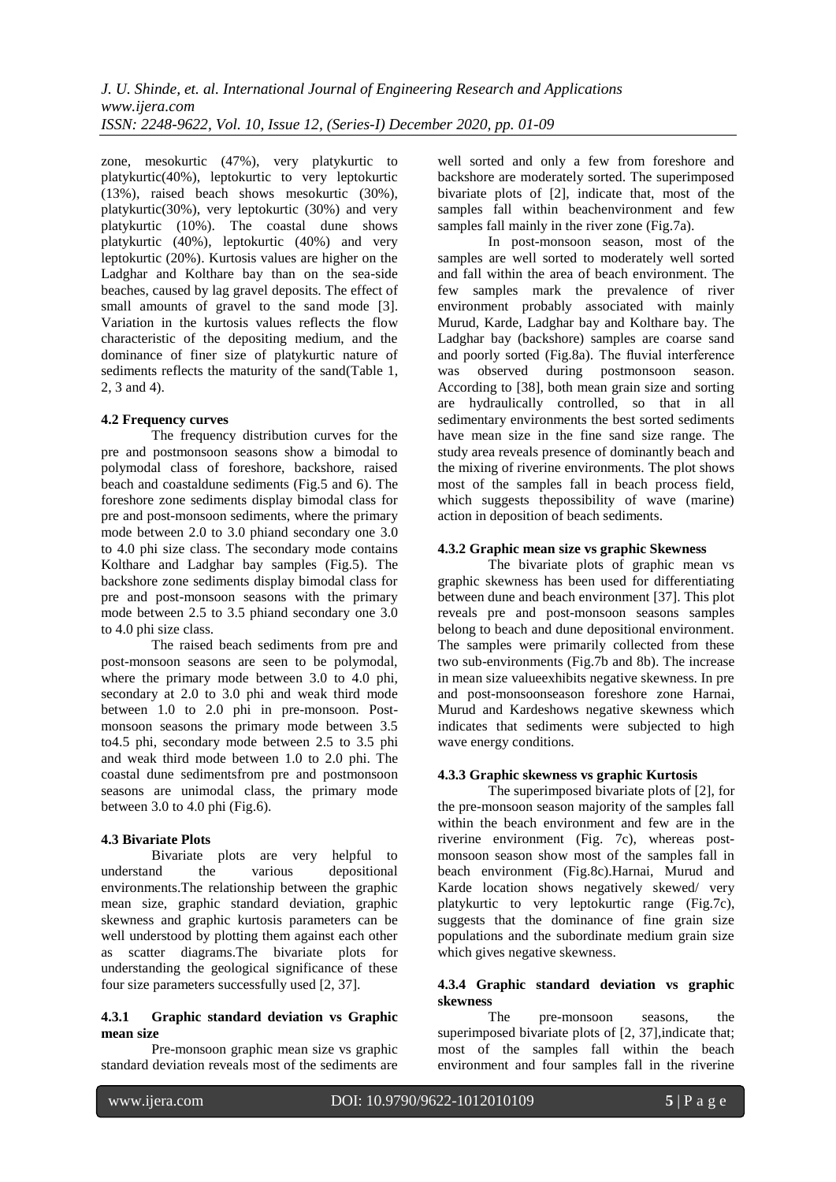zone, mesokurtic (47%), very platykurtic to platykurtic(40%), leptokurtic to very leptokurtic (13%), raised beach shows mesokurtic (30%), platykurtic(30%), very leptokurtic (30%) and very platykurtic (10%). The coastal dune shows platykurtic (40%), leptokurtic (40%) and very leptokurtic (20%). Kurtosis values are higher on the Ladghar and Kolthare bay than on the sea-side beaches, caused by lag gravel deposits. The effect of small amounts of gravel to the sand mode [3]. Variation in the kurtosis values reflects the flow characteristic of the depositing medium, and the dominance of finer size of platykurtic nature of sediments reflects the maturity of the sand(Table 1, 2, 3 and 4).

#### **4.2 Frequency curves**

The frequency distribution curves for the pre and postmonsoon seasons show a bimodal to polymodal class of foreshore, backshore, raised beach and coastaldune sediments (Fig.5 and 6). The foreshore zone sediments display bimodal class for pre and post-monsoon sediments, where the primary mode between 2.0 to 3.0 phiand secondary one 3.0 to 4.0 phi size class. The secondary mode contains Kolthare and Ladghar bay samples (Fig.5). The backshore zone sediments display bimodal class for pre and post-monsoon seasons with the primary mode between 2.5 to 3.5 phiand secondary one 3.0 to 4.0 phi size class.

The raised beach sediments from pre and post-monsoon seasons are seen to be polymodal, where the primary mode between 3.0 to 4.0 phi, secondary at 2.0 to 3.0 phi and weak third mode between 1.0 to 2.0 phi in pre-monsoon. Postmonsoon seasons the primary mode between 3.5 to4.5 phi, secondary mode between 2.5 to 3.5 phi and weak third mode between 1.0 to 2.0 phi. The coastal dune sedimentsfrom pre and postmonsoon seasons are unimodal class, the primary mode between 3.0 to 4.0 phi (Fig.6).

# **4.3 Bivariate Plots**

Bivariate plots are very helpful to understand the various depositional environments.The relationship between the graphic mean size, graphic standard deviation, graphic skewness and graphic kurtosis parameters can be well understood by plotting them against each other as scatter diagrams.The bivariate plots for understanding the geological significance of these four size parameters successfully used [2, 37].

#### **4.3.1 Graphic standard deviation vs Graphic mean size**

Pre-monsoon graphic mean size vs graphic standard deviation reveals most of the sediments are

well sorted and only a few from foreshore and backshore are moderately sorted. The superimposed bivariate plots of [2], indicate that, most of the samples fall within beachenvironment and few samples fall mainly in the river zone (Fig.7a).

In post-monsoon season, most of the samples are well sorted to moderately well sorted and fall within the area of beach environment. The few samples mark the prevalence of river environment probably associated with mainly Murud, Karde, Ladghar bay and Kolthare bay. The Ladghar bay (backshore) samples are coarse sand and poorly sorted (Fig.8a). The fluvial interference was observed during postmonsoon season. According to [38], both mean grain size and sorting are hydraulically controlled, so that in all sedimentary environments the best sorted sediments have mean size in the fine sand size range. The study area reveals presence of dominantly beach and the mixing of riverine environments. The plot shows most of the samples fall in beach process field, which suggests the possibility of wave (marine) action in deposition of beach sediments.

#### **4.3.2 Graphic mean size vs graphic Skewness**

The bivariate plots of graphic mean vs graphic skewness has been used for differentiating between dune and beach environment [37]. This plot reveals pre and post-monsoon seasons samples belong to beach and dune depositional environment. The samples were primarily collected from these two sub-environments (Fig.7b and 8b). The increase in mean size valueexhibits negative skewness. In pre and post-monsoonseason foreshore zone Harnai, Murud and Kardeshows negative skewness which indicates that sediments were subjected to high wave energy conditions.

# **4.3.3 Graphic skewness vs graphic Kurtosis**

The superimposed bivariate plots of [2], for the pre-monsoon season majority of the samples fall within the beach environment and few are in the riverine environment (Fig. 7c), whereas postmonsoon season show most of the samples fall in beach environment (Fig.8c).Harnai, Murud and Karde location shows negatively skewed/ very platykurtic to very leptokurtic range (Fig.7c), suggests that the dominance of fine grain size populations and the subordinate medium grain size which gives negative skewness.

#### **4.3.4 Graphic standard deviation vs graphic skewness**

The pre-monsoon seasons, the superimposed bivariate plots of [2, 37], indicate that; most of the samples fall within the beach environment and four samples fall in the riverine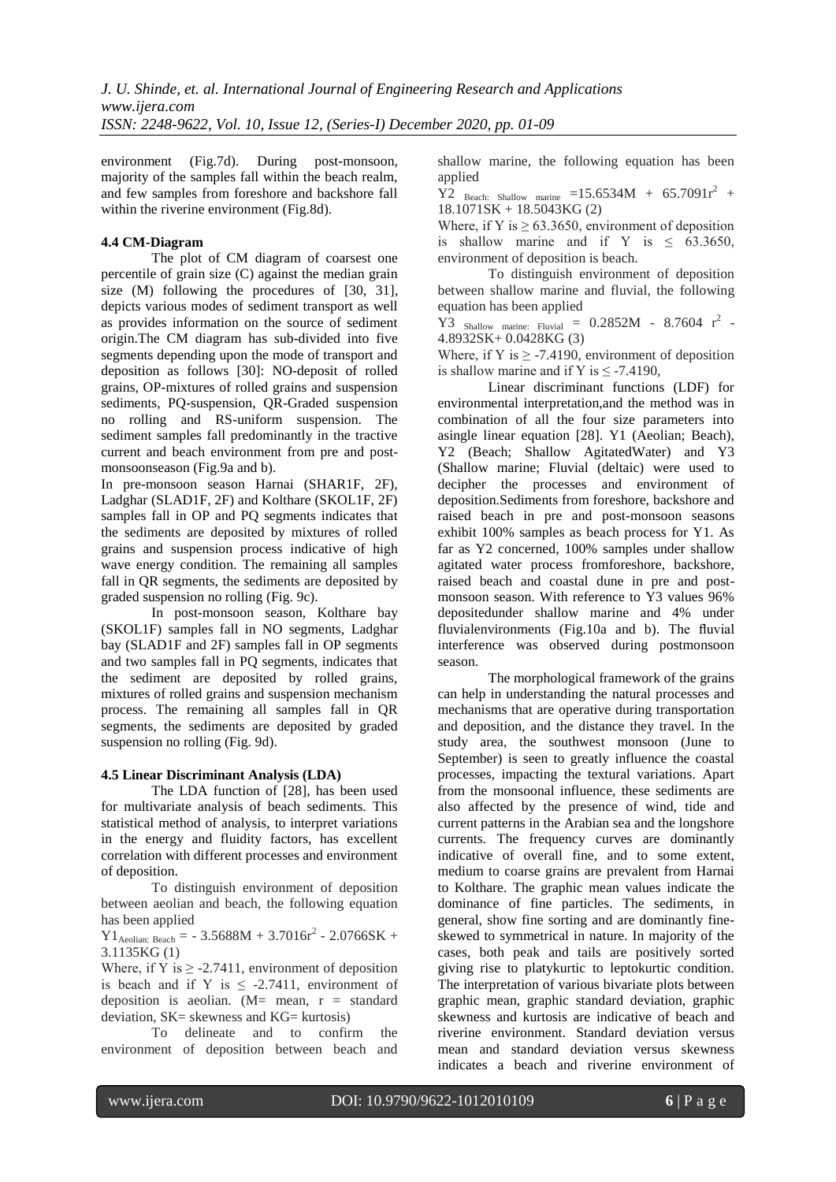environment (Fig.7d). During post-monsoon, majority of the samples fall within the beach realm, and few samples from foreshore and backshore fall within the riverine environment (Fig.8d).

#### **4.4 CM-Diagram**

The plot of CM diagram of coarsest one percentile of grain size (C) against the median grain size (M) following the procedures of [30, 31], depicts various modes of sediment transport as well as provides information on the source of sediment origin.The CM diagram has sub-divided into five segments depending upon the mode of transport and deposition as follows [30]: NO-deposit of rolled grains, OP-mixtures of rolled grains and suspension sediments, PQ-suspension, QR-Graded suspension no rolling and RS-uniform suspension. The sediment samples fall predominantly in the tractive current and beach environment from pre and postmonsoonseason (Fig.9a and b).

In pre-monsoon season Harnai (SHAR1F, 2F), Ladghar (SLAD1F, 2F) and Kolthare (SKOL1F, 2F) samples fall in OP and PQ segments indicates that the sediments are deposited by mixtures of rolled grains and suspension process indicative of high wave energy condition. The remaining all samples fall in QR segments, the sediments are deposited by graded suspension no rolling (Fig. 9c).

In post-monsoon season, Kolthare bay (SKOL1F) samples fall in NO segments, Ladghar bay (SLAD1F and 2F) samples fall in OP segments and two samples fall in PQ segments, indicates that the sediment are deposited by rolled grains, mixtures of rolled grains and suspension mechanism process. The remaining all samples fall in QR segments, the sediments are deposited by graded suspension no rolling (Fig. 9d).

#### **4.5 Linear Discriminant Analysis (LDA)**

The LDA function of [28], has been used for multivariate analysis of beach sediments. This statistical method of analysis, to interpret variations in the energy and fluidity factors, has excellent correlation with different processes and environment of deposition.

To distinguish environment of deposition between aeolian and beach, the following equation has been applied

 $Y1_{\text{Aeolian: Beach}} = -3.5688M + 3.7016r^2 - 2.0766SK +$ 3.1135KG (1)

Where, if Y is  $\geq$  -2.7411, environment of deposition is beach and if Y is  $\leq$  -2.7411, environment of deposition is aeolian.  $(M=$  mean,  $r =$  standard deviation,  $SK =$  skewness and  $KG =$  kurtosis)

To delineate and to confirm the environment of deposition between beach and shallow marine, the following equation has been applied

 $\overline{Y2}$  Beach: Shallow marine =15.6534M + 65.7091r<sup>2</sup> + 18.1071SK + 18.5043KG (2)

Where, if Y is  $\geq 63.3650$ , environment of deposition is shallow marine and if Y is  $\leq$  63.3650, environment of deposition is beach.

To distinguish environment of deposition between shallow marine and fluvial, the following equation has been applied

 $\widehat{Y3}$  Shallow marine: Fluvial = 0.2852M - 8.7604  $r^2$  -4.8932SK+ 0.0428KG (3)

Where, if Y is  $\geq$  -7.4190, environment of deposition is shallow marine and if Y is  $\leq$  -7.4190.

Linear discriminant functions (LDF) for environmental interpretation,and the method was in combination of all the four size parameters into asingle linear equation [28]. Y1 (Aeolian; Beach), Y2 (Beach; Shallow AgitatedWater) and Y3 (Shallow marine; Fluvial (deltaic) were used to decipher the processes and environment of deposition.Sediments from foreshore, backshore and raised beach in pre and post-monsoon seasons exhibit 100% samples as beach process for Y1. As far as Y2 concerned, 100% samples under shallow agitated water process fromforeshore, backshore, raised beach and coastal dune in pre and postmonsoon season. With reference to  $\hat{Y}3$  values 96% depositedunder shallow marine and 4% under fluvialenvironments (Fig.10a and b). The fluvial interference was observed during postmonsoon season.

The morphological framework of the grains can help in understanding the natural processes and mechanisms that are operative during transportation and deposition, and the distance they travel. In the study area, the southwest monsoon (June to September) is seen to greatly influence the coastal processes, impacting the textural variations. Apart from the monsoonal influence, these sediments are also affected by the presence of wind, tide and current patterns in the Arabian sea and the longshore currents. The frequency curves are dominantly indicative of overall fine, and to some extent, medium to coarse grains are prevalent from Harnai to Kolthare. The graphic mean values indicate the dominance of fine particles. The sediments, in general, show fine sorting and are dominantly fineskewed to symmetrical in nature. In majority of the cases, both peak and tails are positively sorted giving rise to platykurtic to leptokurtic condition. The interpretation of various bivariate plots between graphic mean, graphic standard deviation, graphic skewness and kurtosis are indicative of beach and riverine environment. Standard deviation versus mean and standard deviation versus skewness indicates a beach and riverine environment of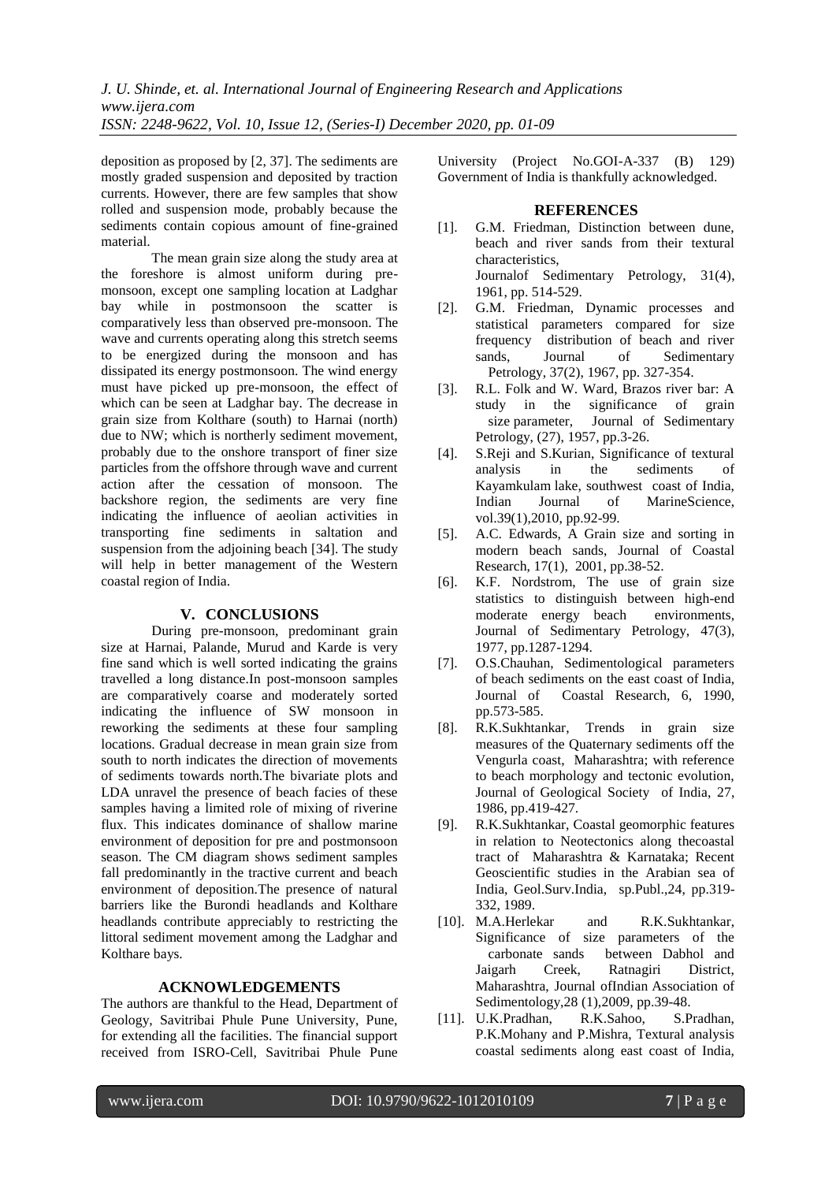deposition as proposed by [2, 37]. The sediments are mostly graded suspension and deposited by traction currents. However, there are few samples that show rolled and suspension mode, probably because the sediments contain copious amount of fine-grained material.

The mean grain size along the study area at the foreshore is almost uniform during premonsoon, except one sampling location at Ladghar bay while in postmonsoon the scatter is comparatively less than observed pre-monsoon. The wave and currents operating along this stretch seems to be energized during the monsoon and has dissipated its energy postmonsoon. The wind energy must have picked up pre-monsoon, the effect of which can be seen at Ladghar bay. The decrease in grain size from Kolthare (south) to Harnai (north) due to NW; which is northerly sediment movement, probably due to the onshore transport of finer size particles from the offshore through wave and current action after the cessation of monsoon. The backshore region, the sediments are very fine indicating the influence of aeolian activities in transporting fine sediments in saltation and suspension from the adjoining beach [34]. The study will help in better management of the Western coastal region of India.

# **V. CONCLUSIONS**

During pre-monsoon, predominant grain size at Harnai, Palande, Murud and Karde is very fine sand which is well sorted indicating the grains travelled a long distance.In post-monsoon samples are comparatively coarse and moderately sorted indicating the influence of SW monsoon in reworking the sediments at these four sampling locations. Gradual decrease in mean grain size from south to north indicates the direction of movements of sediments towards north.The bivariate plots and LDA unravel the presence of beach facies of these samples having a limited role of mixing of riverine flux. This indicates dominance of shallow marine environment of deposition for pre and postmonsoon season. The CM diagram shows sediment samples fall predominantly in the tractive current and beach environment of deposition.The presence of natural barriers like the Burondi headlands and Kolthare headlands contribute appreciably to restricting the littoral sediment movement among the Ladghar and Kolthare bays.

#### **ACKNOWLEDGEMENTS**

The authors are thankful to the Head, Department of Geology, Savitribai Phule Pune University, Pune, for extending all the facilities. The financial support received from ISRO-Cell, Savitribai Phule Pune University (Project No.GOI-A-337 (B) 129) Government of India is thankfully acknowledged.

#### **REFERENCES**

- [1]. G.M. Friedman, Distinction between dune, beach and river sands from their textural characteristics, Journalof Sedimentary Petrology, 31(4),
- 1961, pp. 514-529. [2]. G.M. Friedman, Dynamic processes and statistical parameters compared for size frequency distribution of beach and river<br>sands, Journal of Sedimentary sands, Journal of Sedimentary Petrology, 37(2), 1967, pp. 327-354.
- [3]. R.L. Folk and W. Ward, Brazos river bar: A study in the significance of grain size parameter, Journal of Sedimentary Petrology, (27), 1957, pp.3-26.
- [4]. S.Reji and S.Kurian, Significance of textural analysis in the sediments of Kayamkulam lake, southwest coast of India, Indian Journal of MarineScience, vol.39(1),2010, pp.92-99.
- [5]. A.C. Edwards, A Grain size and sorting in modern beach sands, Journal of Coastal Research, 17(1), 2001, pp.38-52.
- [6]. K.F. Nordstrom, The use of grain size statistics to distinguish between high-end moderate energy beach environments, Journal of Sedimentary Petrology, 47(3), 1977, pp.1287-1294.
- [7]. O.S.Chauhan, Sedimentological parameters of beach sediments on the east coast of India, Journal of Coastal Research, 6, 1990, pp.573-585.
- [8]. R.K.Sukhtankar, Trends in grain size measures of the Quaternary sediments off the Vengurla coast, Maharashtra; with reference to beach morphology and tectonic evolution, Journal of Geological Society of India, 27, 1986, pp.419-427.
- [9]. R.K.Sukhtankar, Coastal geomorphic features in relation to Neotectonics along thecoastal tract of Maharashtra & Karnataka; Recent Geoscientific studies in the Arabian sea of India, Geol.Surv.India, sp.Publ.,24, pp.319- 332, 1989.
- [10]. M.A.Herlekar and R.K.Sukhtankar, Significance of size parameters of the carbonate sands between Dabhol and Jaigarh Creek, Ratnagiri District, Maharashtra, Journal ofIndian Association of Sedimentology,28 (1),2009, pp.39-48.
- [11]. U.K.Pradhan, R.K.Sahoo, S.Pradhan, P.K.Mohany and P.Mishra, Textural analysis coastal sediments along east coast of India,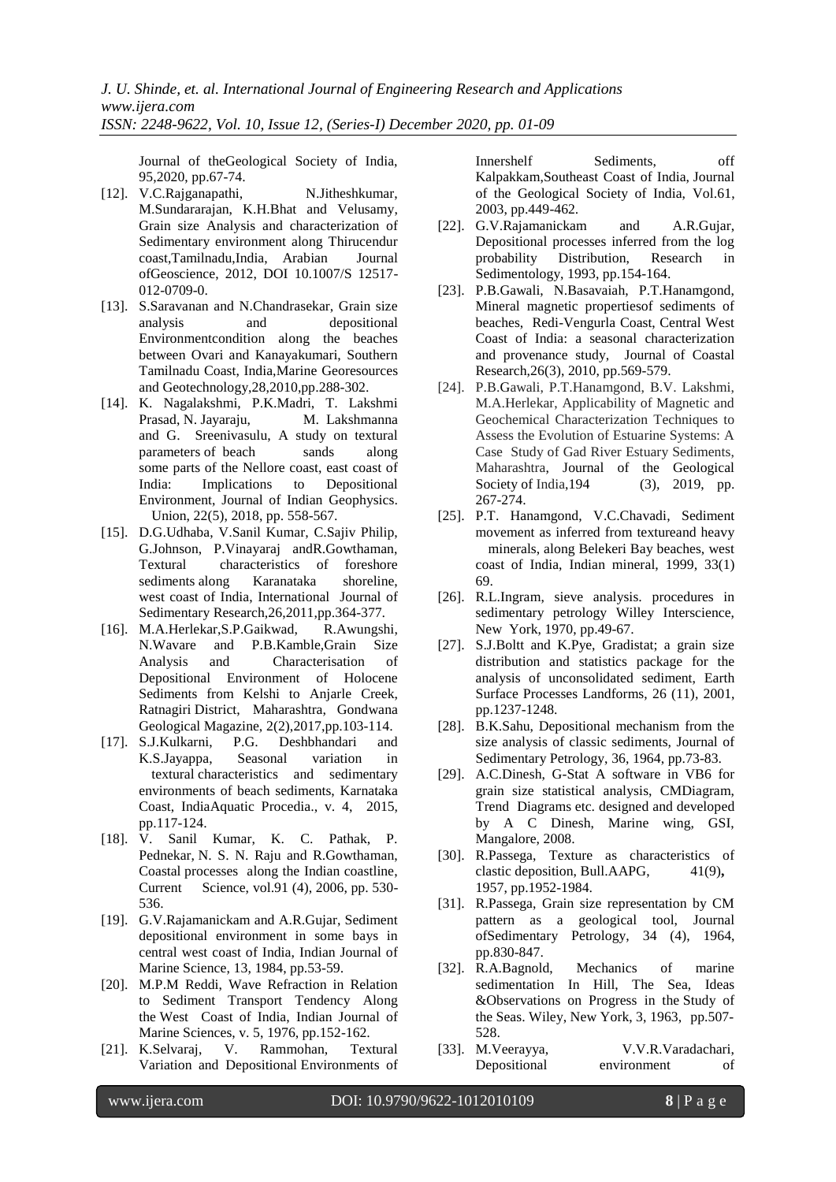Journal of theGeological Society of India, 95,2020, pp.67-74.

- [12]. V.C.Rajganapathi, N.Jitheshkumar, M.Sundararajan, K.H.Bhat and Velusamy, Grain size Analysis and characterization of Sedimentary environment along Thirucendur coast,Tamilnadu,India, Arabian Journal ofGeoscience, 2012, DOI 10.1007/S 12517- 012-0709-0.
- [13]. S.Saravanan and N.Chandrasekar, Grain size analysis and depositional Environmentcondition along the beaches between Ovari and Kanayakumari, Southern Tamilnadu Coast, India,Marine Georesources and Geotechnology,28,2010,pp.288-302.
- [14]. K. Nagalakshmi, P.K.Madri, T. Lakshmi Prasad, N. Jayaraju, M. Lakshmanna and G. Sreenivasulu, A study on textural parameters of beach sands along some parts of the Nellore coast, east coast of India: Implications to Depositional Environment, Journal of Indian Geophysics. Union, 22(5), 2018, pp. 558-567.
- [15]. D.G.Udhaba, V.Sanil Kumar, C.Sajiv Philip, G.Johnson, P.Vinayaraj andR.Gowthaman, Textural characteristics of foreshore sediments along Karanataka shoreline, west coast of India, International Journal of Sedimentary Research,26,2011,pp.364-377.
- [16]. M.A.Herlekar,S.P.Gaikwad, R.Awungshi, N.Wavare and P.B.Kamble,Grain Size Analysis and Characterisation of Depositional Environment of Holocene Sediments from Kelshi to Anjarle Creek, Ratnagiri District, Maharashtra, Gondwana Geological Magazine, 2(2),2017,pp.103-114.
- [17]. S.J.Kulkarni, P.G. Deshbhandari and K.S.Jayappa, Seasonal variation in textural characteristics and sedimentary environments of beach sediments, Karnataka Coast, IndiaAquatic Procedia., v. 4, 2015, pp.117-124.
- [18]. V. Sanil Kumar, K. C. Pathak, P. Pednekar, N. S. N. Raju and R.Gowthaman, Coastal processes along the Indian coastline, Current Science, vol.91 (4), 2006, pp. 530-536.
- [19]. G.V.Rajamanickam and A.R.Gujar, Sediment depositional environment in some bays in central west coast of India, Indian Journal of Marine Science, 13, 1984, pp.53-59.
- [20]. M.P.M Reddi, Wave Refraction in Relation to Sediment Transport Tendency Along the West Coast of India, Indian Journal of Marine Sciences, v. 5, 1976, pp.152-162.
- [21]. K.Selvaraj, V. Rammohan, Textural Variation and Depositional Environments of

Innershelf Sediments, off Kalpakkam,Southeast Coast of India, Journal of the Geological Society of India, Vol.61, 2003, pp.449-462.

- [22]. G.V.Rajamanickam and A.R.Gujar, Depositional processes inferred from the log probability Distribution, Research in Sedimentology, 1993, pp.154-164.
- [23]. P.B.Gawali, N.Basavaiah, P.T.Hanamgond, Mineral magnetic propertiesof sediments of beaches, Redi-Vengurla Coast, Central West Coast of India: a seasonal characterization and provenance study, Journal of Coastal Research,26(3), 2010, pp.569-579.
- [24]. P.B.Gawali, P.T.Hanamgond, B.V. Lakshmi, M.A.Herlekar, Applicability of Magnetic and Geochemical Characterization Techniques to Assess the Evolution of Estuarine Systems: A Case Study of Gad River Estuary Sediments, Maharashtra, Journal of the Geological Society of India, 194 (3), 2019, pp. 267-274.
- [25]. P.T. Hanamgond, V.C.Chavadi, Sediment movement as inferred from textureand heavy minerals, along Belekeri Bay beaches, west coast of India, Indian mineral, 1999, 33(1) 69.
- [26]. R.L.Ingram, sieve analysis. procedures in sedimentary petrology Willey Interscience, New York, 1970, pp.49-67.
- [27]. S.J.Boltt and K.Pye, Gradistat; a grain size distribution and statistics package for the analysis of unconsolidated sediment, Earth Surface Processes Landforms, 26 (11), 2001, pp.1237-1248.
- [28]. B.K.Sahu, Depositional mechanism from the size analysis of classic sediments, Journal of Sedimentary Petrology, 36, 1964, pp.73-83.
- [29]. A.C.Dinesh, G-Stat A software in VB6 for grain size statistical analysis, CMDiagram, Trend Diagrams etc. designed and developed by A C Dinesh, Marine wing, GSI, Mangalore, 2008.
- [30]. R.Passega, Texture as characteristics of clastic deposition, Bull.AAPG, 41(9), 1957, pp.1952-1984.
- [31]. R.Passega, Grain size representation by CM pattern as a geological tool, Journal ofSedimentary Petrology, 34 (4), 1964, pp.830-847.
- [32]. R.A.Bagnold, Mechanics of marine sedimentation In Hill, The Sea, Ideas &Observations on Progress in the Study of the Seas. Wiley, New York, 3, 1963, pp.507- 528.
- [33]. M.Veerayya, V.V.R.Varadachari, Depositional environment of